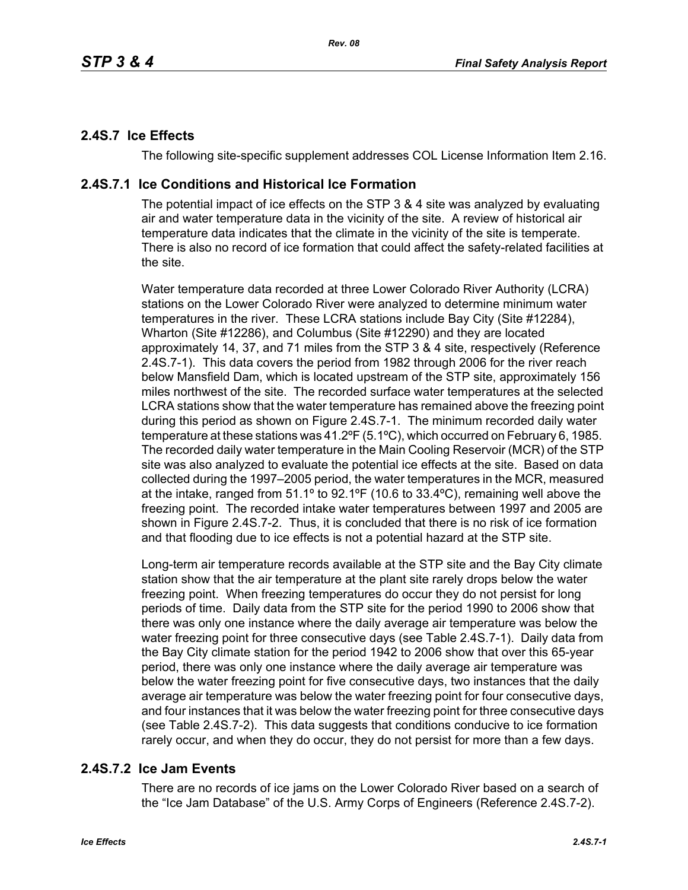# **2.4S.7 Ice Effects**

The following site-specific supplement addresses COL License Information Item 2.16.

## **2.4S.7.1 Ice Conditions and Historical Ice Formation**

The potential impact of ice effects on the STP 3 & 4 site was analyzed by evaluating air and water temperature data in the vicinity of the site. A review of historical air temperature data indicates that the climate in the vicinity of the site is temperate. There is also no record of ice formation that could affect the safety-related facilities at the site.

Water temperature data recorded at three Lower Colorado River Authority (LCRA) stations on the Lower Colorado River were analyzed to determine minimum water temperatures in the river. These LCRA stations include Bay City (Site #12284), Wharton (Site #12286), and Columbus (Site #12290) and they are located approximately 14, 37, and 71 miles from the STP 3 & 4 site, respectively (Reference 2.4S.7-1). This data covers the period from 1982 through 2006 for the river reach below Mansfield Dam, which is located upstream of the STP site, approximately 156 miles northwest of the site. The recorded surface water temperatures at the selected LCRA stations show that the water temperature has remained above the freezing point during this period as shown on Figure 2.4S.7-1. The minimum recorded daily water temperature at these stations was 41.2ºF (5.1ºC), which occurred on February 6, 1985. The recorded daily water temperature in the Main Cooling Reservoir (MCR) of the STP site was also analyzed to evaluate the potential ice effects at the site. Based on data collected during the 1997–2005 period, the water temperatures in the MCR, measured at the intake, ranged from 51.1º to 92.1ºF (10.6 to 33.4ºC), remaining well above the freezing point. The recorded intake water temperatures between 1997 and 2005 are shown in Figure 2.4S.7-2. Thus, it is concluded that there is no risk of ice formation and that flooding due to ice effects is not a potential hazard at the STP site.

Long-term air temperature records available at the STP site and the Bay City climate station show that the air temperature at the plant site rarely drops below the water freezing point. When freezing temperatures do occur they do not persist for long periods of time. Daily data from the STP site for the period 1990 to 2006 show that there was only one instance where the daily average air temperature was below the water freezing point for three consecutive days (see Table 2.4S.7-1). Daily data from the Bay City climate station for the period 1942 to 2006 show that over this 65-year period, there was only one instance where the daily average air temperature was below the water freezing point for five consecutive days, two instances that the daily average air temperature was below the water freezing point for four consecutive days, and four instances that it was below the water freezing point for three consecutive days (see Table 2.4S.7-2). This data suggests that conditions conducive to ice formation rarely occur, and when they do occur, they do not persist for more than a few days.

# **2.4S.7.2 Ice Jam Events**

There are no records of ice jams on the Lower Colorado River based on a search of the "Ice Jam Database" of the U.S. Army Corps of Engineers (Reference 2.4S.7-2).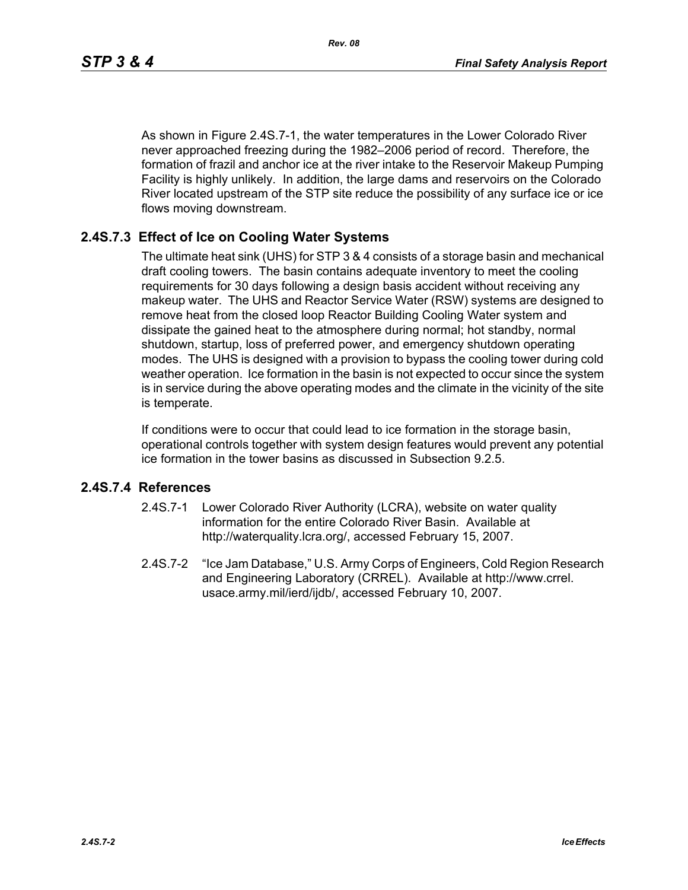As shown in Figure 2.4S.7-1, the water temperatures in the Lower Colorado River never approached freezing during the 1982–2006 period of record. Therefore, the formation of frazil and anchor ice at the river intake to the Reservoir Makeup Pumping Facility is highly unlikely. In addition, the large dams and reservoirs on the Colorado River located upstream of the STP site reduce the possibility of any surface ice or ice flows moving downstream.

## **2.4S.7.3 Effect of Ice on Cooling Water Systems**

The ultimate heat sink (UHS) for STP 3 & 4 consists of a storage basin and mechanical draft cooling towers. The basin contains adequate inventory to meet the cooling requirements for 30 days following a design basis accident without receiving any makeup water. The UHS and Reactor Service Water (RSW) systems are designed to remove heat from the closed loop Reactor Building Cooling Water system and dissipate the gained heat to the atmosphere during normal; hot standby, normal shutdown, startup, loss of preferred power, and emergency shutdown operating modes. The UHS is designed with a provision to bypass the cooling tower during cold weather operation. Ice formation in the basin is not expected to occur since the system is in service during the above operating modes and the climate in the vicinity of the site is temperate.

If conditions were to occur that could lead to ice formation in the storage basin, operational controls together with system design features would prevent any potential ice formation in the tower basins as discussed in Subsection 9.2.5.

#### **2.4S.7.4 References**

- 2.4S.7-1 Lower Colorado River Authority (LCRA), website on water quality information for the entire Colorado River Basin. Available at http://waterquality.lcra.org/, accessed February 15, 2007.
- 2.4S.7-2 "Ice Jam Database," U.S. Army Corps of Engineers, Cold Region Research and Engineering Laboratory (CRREL). Available at http://www.crrel. usace.army.mil/ierd/ijdb/, accessed February 10, 2007.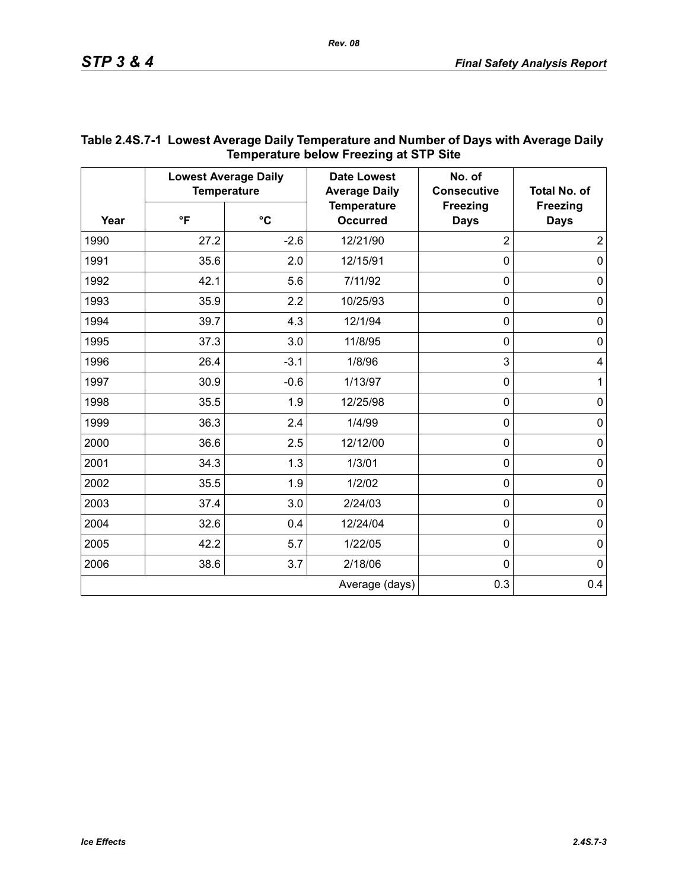| Year | <b>Lowest Average Daily</b><br><b>Temperature</b> |                 | <b>Date Lowest</b><br><b>Average Daily</b> | No. of<br><b>Consecutive</b>   | <b>Total No. of</b>            |
|------|---------------------------------------------------|-----------------|--------------------------------------------|--------------------------------|--------------------------------|
|      | $\mathsf{P}$                                      | $\rm ^{\circ}C$ | <b>Temperature</b><br><b>Occurred</b>      | <b>Freezing</b><br><b>Days</b> | <b>Freezing</b><br><b>Days</b> |
| 1990 | 27.2                                              | $-2.6$          | 12/21/90                                   | $\overline{2}$                 | $\overline{2}$                 |
| 1991 | 35.6                                              | 2.0             | 12/15/91                                   | $\overline{0}$                 | $\mathbf 0$                    |
| 1992 | 42.1                                              | 5.6             | 7/11/92                                    | $\mathbf 0$                    | $\pmb{0}$                      |
| 1993 | 35.9                                              | 2.2             | 10/25/93                                   | $\mathbf 0$                    | $\mathbf 0$                    |
| 1994 | 39.7                                              | 4.3             | 12/1/94                                    | $\mathbf 0$                    | $\pmb{0}$                      |
| 1995 | 37.3                                              | 3.0             | 11/8/95                                    | $\mathbf 0$                    | $\mathbf 0$                    |
| 1996 | 26.4                                              | $-3.1$          | 1/8/96                                     | 3                              | 4                              |
| 1997 | 30.9                                              | $-0.6$          | 1/13/97                                    | $\mathbf 0$                    | $\mathbf{1}$                   |
| 1998 | 35.5                                              | 1.9             | 12/25/98                                   | $\overline{0}$                 | $\pmb{0}$                      |
| 1999 | 36.3                                              | 2.4             | 1/4/99                                     | $\mathbf 0$                    | $\pmb{0}$                      |
| 2000 | 36.6                                              | 2.5             | 12/12/00                                   | $\mathbf 0$                    | $\mathbf 0$                    |
| 2001 | 34.3                                              | 1.3             | 1/3/01                                     | $\mathbf 0$                    | $\pmb{0}$                      |
| 2002 | 35.5                                              | 1.9             | 1/2/02                                     | $\mathbf 0$                    | $\pmb{0}$                      |
| 2003 | 37.4                                              | 3.0             | 2/24/03                                    | $\mathbf 0$                    | $\pmb{0}$                      |
| 2004 | 32.6                                              | 0.4             | 12/24/04                                   | $\mathbf 0$                    | $\pmb{0}$                      |
| 2005 | 42.2                                              | 5.7             | 1/22/05                                    | $\mathbf 0$                    | $\pmb{0}$                      |
| 2006 | 38.6                                              | 3.7             | 2/18/06                                    | $\mathbf 0$                    | $\mathbf 0$                    |
|      |                                                   |                 | Average (days)                             | 0.3                            | 0.4                            |

## **Table 2.4S.7-1 Lowest Average Daily Temperature and Number of Days with Average Daily Temperature below Freezing at STP Site**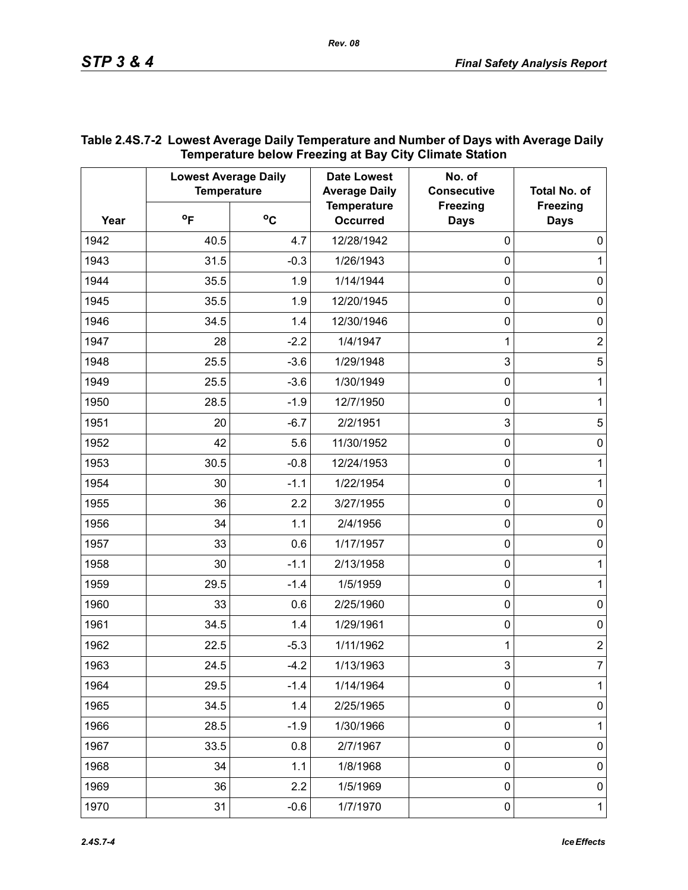|      | <b>Lowest Average Daily</b><br><b>Temperature</b> |              | <b>Date Lowest</b><br><b>Average Daily</b> | No. of<br><b>Consecutive</b>   | Total No. of                   |
|------|---------------------------------------------------|--------------|--------------------------------------------|--------------------------------|--------------------------------|
| Year | $^{\circ}$ F                                      | $^{\circ}$ C | <b>Temperature</b><br><b>Occurred</b>      | <b>Freezing</b><br><b>Days</b> | <b>Freezing</b><br><b>Days</b> |
| 1942 | 40.5                                              | 4.7          | 12/28/1942                                 | 0                              | $\mathbf 0$                    |
| 1943 | 31.5                                              | $-0.3$       | 1/26/1943                                  | $\mathbf 0$                    | 1                              |
| 1944 | 35.5                                              | 1.9          | 1/14/1944                                  | $\mathbf 0$                    | $\boldsymbol{0}$               |
| 1945 | 35.5                                              | 1.9          | 12/20/1945                                 | $\mathbf 0$                    | $\mathbf 0$                    |
| 1946 | 34.5                                              | 1.4          | 12/30/1946                                 | $\mathbf 0$                    | $\mathbf 0$                    |
| 1947 | 28                                                | $-2.2$       | 1/4/1947                                   | 1                              | $\overline{c}$                 |
| 1948 | 25.5                                              | $-3.6$       | 1/29/1948                                  | 3                              | 5                              |
| 1949 | 25.5                                              | $-3.6$       | 1/30/1949                                  | $\mathbf 0$                    | 1                              |
| 1950 | 28.5                                              | $-1.9$       | 12/7/1950                                  | $\mathbf 0$                    | 1                              |
| 1951 | 20                                                | $-6.7$       | 2/2/1951                                   | 3                              | 5                              |
| 1952 | 42                                                | 5.6          | 11/30/1952                                 | $\mathbf 0$                    | $\mathbf 0$                    |
| 1953 | 30.5                                              | $-0.8$       | 12/24/1953                                 | $\mathbf 0$                    | 1                              |
| 1954 | 30                                                | $-1.1$       | 1/22/1954                                  | $\mathbf 0$                    | 1                              |
| 1955 | 36                                                | 2.2          | 3/27/1955                                  | $\mathbf 0$                    | $\boldsymbol{0}$               |
| 1956 | 34                                                | 1.1          | 2/4/1956                                   | $\mathbf 0$                    | $\mathbf 0$                    |
| 1957 | 33                                                | 0.6          | 1/17/1957                                  | $\mathbf 0$                    | $\mathbf 0$                    |
| 1958 | 30                                                | $-1.1$       | 2/13/1958                                  | $\mathbf 0$                    | 1                              |
| 1959 | 29.5                                              | $-1.4$       | 1/5/1959                                   | $\mathbf 0$                    | 1                              |
| 1960 | 33                                                | 0.6          | 2/25/1960                                  | $\mathbf 0$                    | $\pmb{0}$                      |
| 1961 | 34.5                                              | 1.4          | 1/29/1961                                  | $\mathbf 0$                    | $\mathbf 0$                    |
| 1962 | 22.5                                              | $-5.3$       | 1/11/1962                                  | 1                              | $\overline{c}$                 |
| 1963 | 24.5                                              | $-4.2$       | 1/13/1963                                  | 3                              | 7                              |
| 1964 | 29.5                                              | $-1.4$       | 1/14/1964                                  | $\pmb{0}$                      | 1                              |
| 1965 | 34.5                                              | 1.4          | 2/25/1965                                  | $\pmb{0}$                      | 0                              |
| 1966 | 28.5                                              | $-1.9$       | 1/30/1966                                  | $\boldsymbol{0}$               | 1                              |
| 1967 | 33.5                                              | 0.8          | 2/7/1967                                   | $\pmb{0}$                      | 0                              |
| 1968 | 34                                                | 1.1          | 1/8/1968                                   | $\boldsymbol{0}$               | 0                              |
| 1969 | 36                                                | 2.2          | 1/5/1969                                   | $\pmb{0}$                      | $\pmb{0}$                      |
| 1970 | 31                                                | $-0.6$       | 1/7/1970                                   | 0                              | $\mathbf{1}$                   |

### **Table 2.4S.7-2 Lowest Average Daily Temperature and Number of Days with Average Daily Temperature below Freezing at Bay City Climate Station**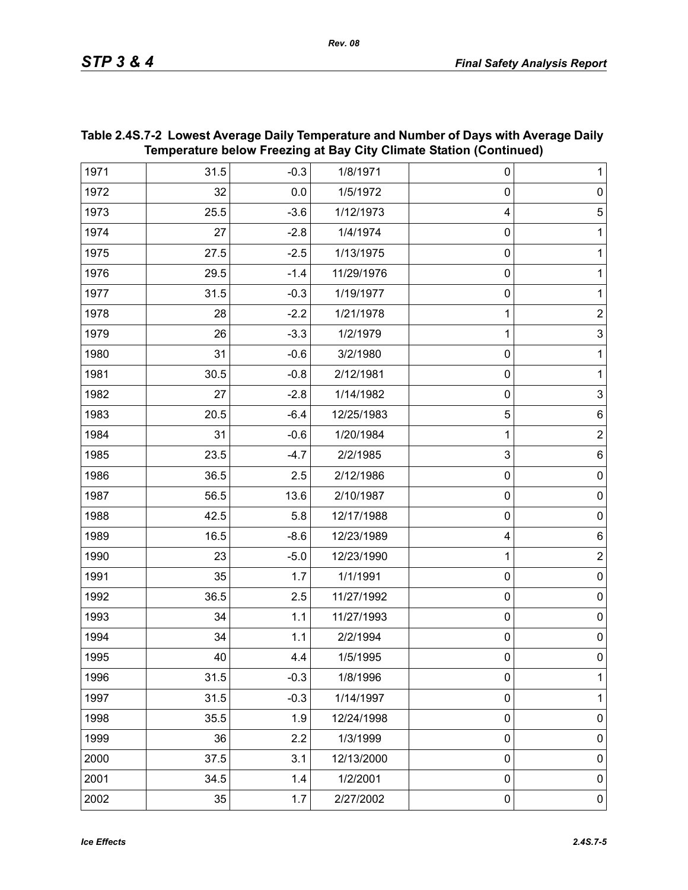| Temperature below Freezing at Bay City Climate Station (Continued) |      |         |            |             |                     |  |
|--------------------------------------------------------------------|------|---------|------------|-------------|---------------------|--|
| 1971                                                               | 31.5 | $-0.3$  | 1/8/1971   | 0           | 1                   |  |
| 1972                                                               | 32   | $0.0\,$ | 1/5/1972   | $\pmb{0}$   | $\pmb{0}$           |  |
| 1973                                                               | 25.5 | $-3.6$  | 1/12/1973  | 4           | 5                   |  |
| 1974                                                               | 27   | $-2.8$  | 1/4/1974   | $\pmb{0}$   | 1                   |  |
| 1975                                                               | 27.5 | $-2.5$  | 1/13/1975  | $\pmb{0}$   | 1                   |  |
| 1976                                                               | 29.5 | $-1.4$  | 11/29/1976 | $\pmb{0}$   | 1                   |  |
| 1977                                                               | 31.5 | $-0.3$  | 1/19/1977  | $\pmb{0}$   | 1                   |  |
| 1978                                                               | 28   | $-2.2$  | 1/21/1978  | 1           | $\overline{2}$      |  |
| 1979                                                               | 26   | $-3.3$  | 1/2/1979   | 1           | 3                   |  |
| 1980                                                               | 31   | $-0.6$  | 3/2/1980   | $\pmb{0}$   | 1                   |  |
| 1981                                                               | 30.5 | $-0.8$  | 2/12/1981  | $\pmb{0}$   | $\mathbf{1}$        |  |
| 1982                                                               | 27   | $-2.8$  | 1/14/1982  | $\pmb{0}$   | 3                   |  |
| 1983                                                               | 20.5 | $-6.4$  | 12/25/1983 | 5           | 6                   |  |
| 1984                                                               | 31   | $-0.6$  | 1/20/1984  | 1           | $\overline{2}$      |  |
| 1985                                                               | 23.5 | $-4.7$  | 2/2/1985   | 3           | 6                   |  |
| 1986                                                               | 36.5 | 2.5     | 2/12/1986  | $\pmb{0}$   | $\pmb{0}$           |  |
| 1987                                                               | 56.5 | 13.6    | 2/10/1987  | $\pmb{0}$   | $\pmb{0}$           |  |
| 1988                                                               | 42.5 | 5.8     | 12/17/1988 | $\pmb{0}$   | $\pmb{0}$           |  |
| 1989                                                               | 16.5 | $-8.6$  | 12/23/1989 | 4           | 6                   |  |
| 1990                                                               | 23   | $-5.0$  | 12/23/1990 | 1           | $\overline{c}$      |  |
| 1991                                                               | 35   | 1.7     | 1/1/1991   | $\pmb{0}$   | $\pmb{0}$           |  |
| 1992                                                               | 36.5 | 2.5     | 11/27/1992 | $\pmb{0}$   | $\pmb{0}$           |  |
| 1993                                                               | 34   | 1.1     | 11/27/1993 | $\pmb{0}$   | $\pmb{0}$           |  |
| 1994                                                               | 34   | 1.1     | 2/2/1994   | $\pmb{0}$   | 0                   |  |
| 1995                                                               | 40   | 4.4     | 1/5/1995   | 0           | 0                   |  |
| 1996                                                               | 31.5 | $-0.3$  | 1/8/1996   | 0           | $\mathbf{1}$        |  |
| 1997                                                               | 31.5 | $-0.3$  | 1/14/1997  | $\mathsf 0$ | $\mathbf{1}$        |  |
| 1998                                                               | 35.5 | 1.9     | 12/24/1998 | 0           | $\mathsf 0$         |  |
| 1999                                                               | 36   | 2.2     | 1/3/1999   | $\mathsf 0$ | $\mathsf 0$         |  |
| 2000                                                               | 37.5 | 3.1     | 12/13/2000 | 0           | $\mathsf 0$         |  |
| 2001                                                               | 34.5 | 1.4     | 1/2/2001   | $\mathsf 0$ | $\mathsf{O}\xspace$ |  |
| 2002                                                               | 35   | 1.7     | 2/27/2002  | 0           | $\pmb{0}$           |  |

### **Table 2.4S.7-2 Lowest Average Daily Temperature and Number of Days with Average Daily Temperature below Freezing at Bay City Climate Station (Continued)**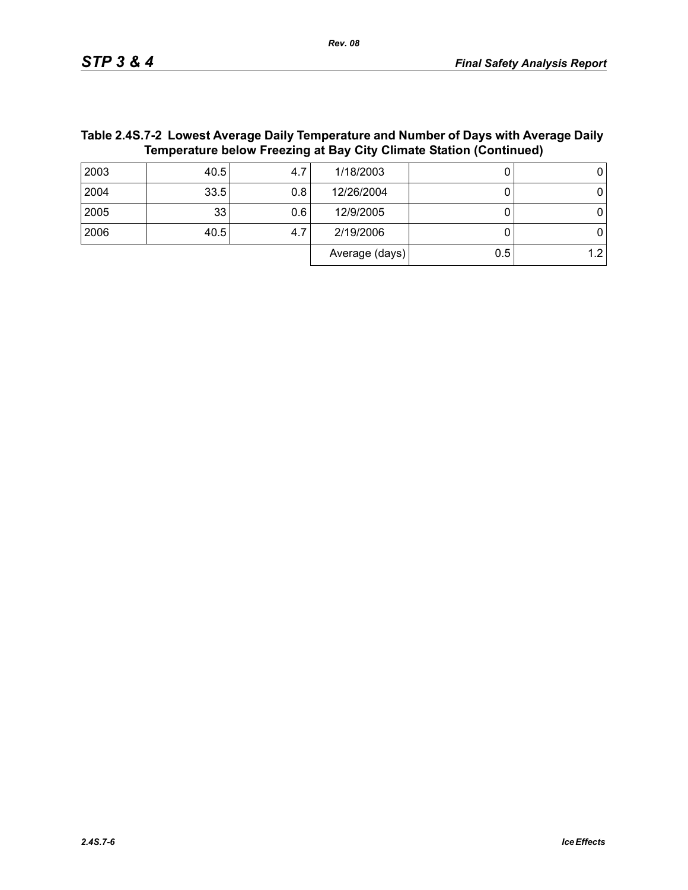| Table 2.4S.7-2 Lowest Average Daily Temperature and Number of Days with Average Daily<br><b>Temperature below Freezing at Bay City Climate Station (Continued)</b> |      |                  |           |  |  |  |  |
|--------------------------------------------------------------------------------------------------------------------------------------------------------------------|------|------------------|-----------|--|--|--|--|
| 2003                                                                                                                                                               | 40.5 | 4.7 <sub>l</sub> | 1/18/2003 |  |  |  |  |

| ZUUJ | 40.J | 4.1 | 17 10/2003     | U   | v  |
|------|------|-----|----------------|-----|----|
| 2004 | 33.5 | 0.8 | 12/26/2004     |     | 0. |
| 2005 | 33   | 0.6 | 12/9/2005      |     | 0. |
| 2006 | 40.5 | 4.7 | 2/19/2006      |     | 0. |
|      |      |     | Average (days) | 0.5 |    |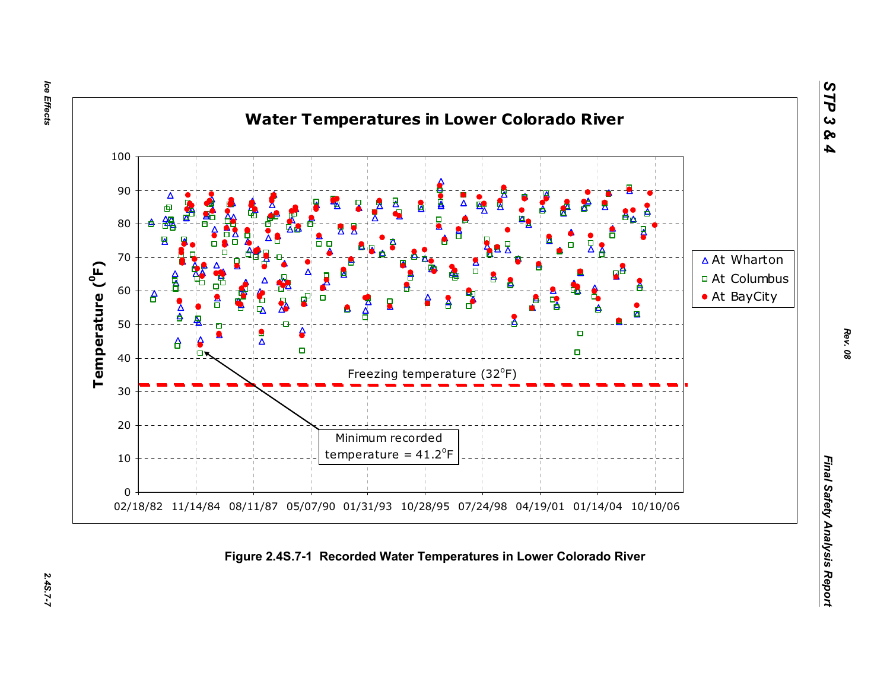Ice Effects *Ice Effects 2.4S.7-7*



2.45.7-7